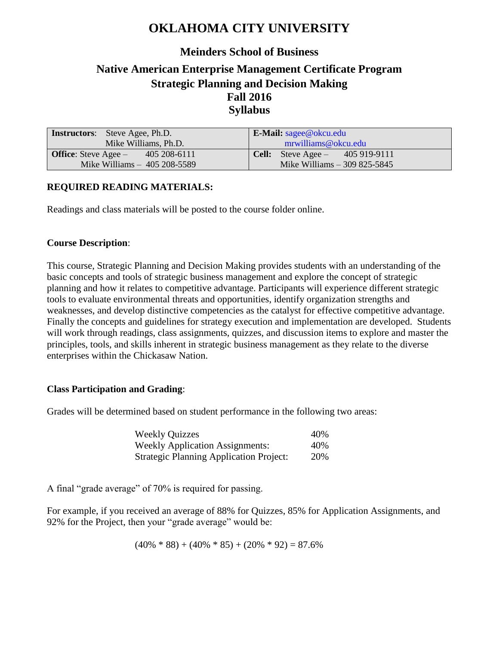# **OKLAHOMA CITY UNIVERSITY**

## **Meinders School of Business Native American Enterprise Management Certificate Program Strategic Planning and Decision Making Fall 2016 Syllabus**

| <b>Instructors:</b> Steve Agee, Ph.D.         | <b>E-Mail:</b> sagee@okcu.edu               |
|-----------------------------------------------|---------------------------------------------|
| Mike Williams, Ph.D.                          | mrwilliams@okcu.edu                         |
| <b>Office:</b> Steve Agee $-$<br>405 208-6111 | <b>Cell:</b> Steve Agee $-$<br>405 919-9111 |
| Mike Williams - 405 208-5589                  | Mike Williams – 309 825-5845                |

### **REQUIRED READING MATERIALS:**

Readings and class materials will be posted to the course folder online.

#### **Course Description**:

This course, Strategic Planning and Decision Making provides students with an understanding of the basic concepts and tools of strategic business management and explore the concept of strategic planning and how it relates to competitive advantage. Participants will experience different strategic tools to evaluate environmental threats and opportunities, identify organization strengths and weaknesses, and develop distinctive competencies as the catalyst for effective competitive advantage. Finally the concepts and guidelines for strategy execution and implementation are developed. Students will work through readings, class assignments, quizzes, and discussion items to explore and master the principles, tools, and skills inherent in strategic business management as they relate to the diverse enterprises within the Chickasaw Nation.

### **Class Participation and Grading**:

Grades will be determined based on student performance in the following two areas:

| <b>Weekly Quizzes</b>                          | 40% |
|------------------------------------------------|-----|
| <b>Weekly Application Assignments:</b>         | 40% |
| <b>Strategic Planning Application Project:</b> | 20% |

A final "grade average" of 70% is required for passing.

For example, if you received an average of 88% for Quizzes, 85% for Application Assignments, and 92% for the Project, then your "grade average" would be:

$$
(40\% * 88) + (40\% * 85) + (20\% * 92) = 87.6\%
$$